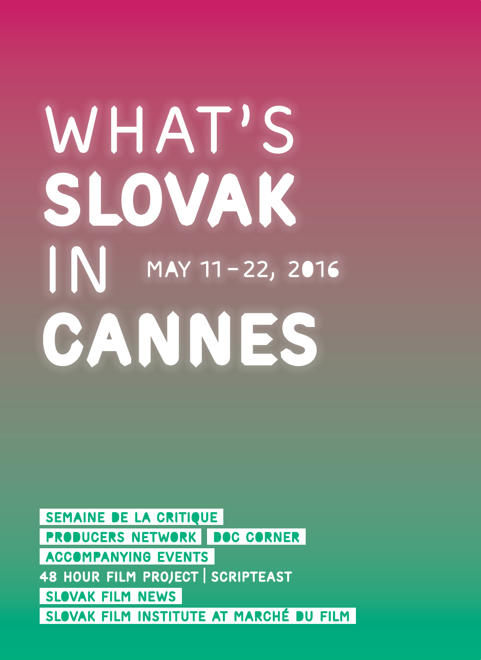# May 11–22, 2016 WHAT'S slovak in CANNES

SEMAINE DE LA CRITIQUE PRODUCERS NETWORK DOC CORNER ACCOMPANYING EVENTS 48 HOUR FILM PROJECT SCRIPTEAST SLOVAK FILM NEWS SLOVAK FILM INSTITUTE AT MARCHÉ DU FILM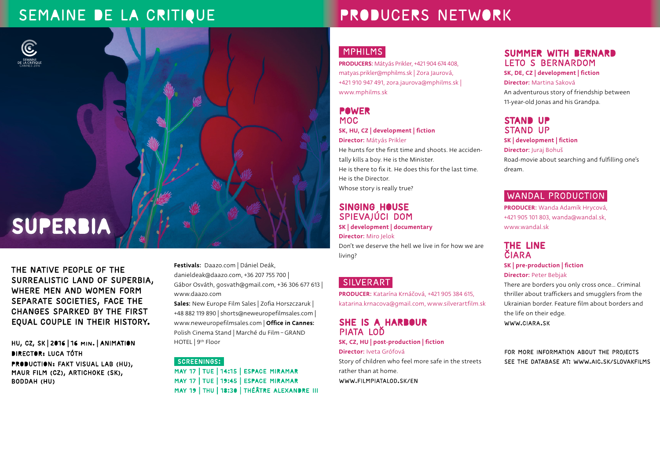## SEMAINE DE LA CRITIQUE

# SUPERBIA

The native people of the surrealistic land of Superbia, where men and women form separate societies, face the changes sparked by the first equal couple in their history.

HU, CZ, SK | 2016 | 16 MIN. | ANIMATION DIRECTOR: Luca Tóth PRODUCTION: Fakt Visual Lab (HU), Maur Film (CZ), Artichoke (SK), Boddah (HU)

Festivals: Daazo.com | Dániel Deák, danieldeak@daazo.com, +36 207 755 700 | Gábor Osváth, gosvath@gmail.com, +36 306 677 613 | www.daazo.com

Sales: New Europe Film Sales | Zofia Horszczaruk | +48 882 119 890 | shorts@neweuropefilmsales.com | www.neweuropefilmsales.com | Office in Cannes: Polish Cinema Stand | Marché du Film − GRAND HOTEL | 9<sup>th</sup> Floor

#### Screenings:

MAY 17 | TUE | 14:15 | ESPACE MIRAMAR MAY 17 | TUE | 19:45 | ESPACE MIRAMAR MAY 19 | THU | 18:30 | THÉÂTRE ALEXANDRE III

# PRODUCERS NETWORK

#### MPHILMS

PRODUCERS: Mátyás Prikler, +421 904 674 408, matyas.prikler@mphilms.sk | Zora Jaurová, +421 910 947 491, zora.jaurova@mphilms.sk | www.mphilms.sk

#### POWER MOC SK, HU, CZ | development | fiction Director: Mátyás Prikler

He hunts for the first time and shoots. He accidentally kills a boy. He is the Minister. He is there to fix it. He does this for the last time. He is the Director. Whose story is really true?

#### SINGING HOUSE SPIEVAJÚCI DOM

SK | development | documentary Director: Miro Jelok Don't we deserve the hell we live in for how we are living?

#### SILVERART

PRODUCER: Katarína Krnáčová, +421 905 384 615, katarina.krnacova@gmail.com, www.silverartfilm.sk

#### SHE IS A HARBOUR PIATA LOĎ

SK, CZ, HU | post-production | fiction Director: Iveta Grófová Story of children who feel more safe in the streets rather than at home.

www.filmpiatalod.sk/en

#### SUMMER WITH BERNARD LETO S BERNARDOM

SK, DE, CZ | development | fiction Director: Martina Saková

An adventurous story of friendship between 11-year-old Jonas and his Grandpa.

#### STAND UP STAND UP

SK | development | fiction Director: Juraj Bohuš Road-movie about searching and fulfilling one's dream.

#### WANDAL PRODUCTION

PRODUCER: Wanda Adamík Hrycová, +421 905 101 803, wanda@wandal.sk, www.wandal.sk

#### THE LINE ČIARA

#### SK | pre-production | fiction Director: Peter Bebjak

There are borders you only cross once… Criminal thriller about traffickers and smugglers from the Ukrainian border. Feature film about borders and the life on their edge.

www.ciara.sk

For more information about the projects see the database at: www.aic.sk/slovakfilms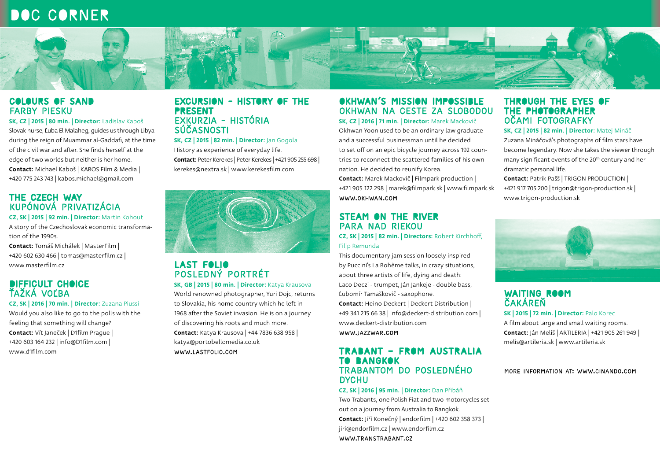### DOC CORNER



#### COLOURS OF SAND FARBY PIESKU

SK, CZ | 2015 | 80 min. | Director: Ladislav Kaboš Slovak nurse, Ľuba El Malaheg, guides us through Libya during the reign of Muammar al-Gaddafi, at the time of the civil war and after. She finds herself at the edge of two worlds but neither is her home. Contact: Michael Kaboš | KABOS Film & Media | +420 775 243 743 | kabos.michael@gmail.com

#### THE CZECH WAY KUPÓNOVÁ PRIVATIZÁCIA

CZ, SK | 2015 | 92 min. | Director: Martin Kohout A story of the Czechoslovak economic transforma-

- tion of the 1990s.
- Contact: Tomáš Michálek | MasterFilm | +420 602 630 466 | tomas@masterfilm.cz | www.masterfilm.cz

#### DIFFICULT CHOICE ŤAŽKÁ VOĽBA

CZ, SK | 2016 | 70 min. | Director: Zuzana Piussi

Would you also like to go to the polls with the feeling that something will change? Contact: Vít Janeček | D1film Prague | +420 603 164 232 | info@D1film.com | www.d1film.com

#### EXCURSION - HISTORY OF THE PRESENT EXKURZIA - HISTÓRIA SÚČASNOSTI

SK, CZ | 2015 | 82 min. | Director: Jan Gogola

History as experience of everyday life. Contact: Peter Kerekes | Peter Kerekes | +421 905 255 698 | kerekes@nextra.sk | www.kerekesfilm.com



#### LAST FOLIO POSLEDNÝ PORTRÉT

SK, GB | 2015 | 80 min. | Director: Katya Krausova

World renowned photographer, Yuri Dojc, returns to Slovakia, his home country which he left in 1968 after the Soviet invasion. He is on a journey of discovering his roots and much more. Contact: Katya Krausova | +44 7836 638 958 | katya@portobellomedia.co.uk www.lastfolio.com

#### OKHWAN´S MISSION IMPOSSIBLE OKHWAN NA CESTE ZA SLOBODOU

SK, CZ | 2016 | 71 min. | Director: Marek Mackovič Okhwan Yoon used to be an ordinary law graduate and a successful businessman until he decided to set off on an epic bicycle journey across 192 countries to reconnect the scattered families of his own nation. He decided to reunify Korea.

Contact: Marek Mackovič | Filmpark production | +421 905 122 298 | marek@filmpark.sk | www.filmpark.sk www.okhwan.com

#### STEAM ON THE RIVER PARA NAD RIEKOU

CZ, SK | 2015 | 82 min. | Directors: Robert Kirchhoff, Filip Remunda

This documentary jam session loosely inspired by Puccini's La Bohème talks, in crazy situations, about three artists of life, dying and death: Laco Deczi - trumpet, Ján Jankeje - double bass, Ľubomír Tamaškovič - saxophone. Contact: Heino Deckert | Deckert Distribution | +49 341 215 66 38 | info@deckert-distribution.com | www.deckert-distribution.com www.jazzwar.com

#### TRABANT – FROM AUSTRALIA TO BANGKOK TRABANTOM DO POSLEDNÉHO **DYCHU**

CZ, SK | 2016 | 95 min. | Director: Dan Přibáň

Two Trabants, one Polish Fiat and two motorcycles set out on a journey from Australia to Bangkok. Contact: Jiří Konečný | endorfilm | +420 602 358 373 | jiri@endorfilm.cz | www.endorfilm.cz www.transtrabant.cz

#### THROUGH THE EYES OF THE PHOTOGRAPHER OČAMI FOTOGRAFKY

SK, CZ | 2015 | 82 min. | Director: Matej Mináč Zuzana Mináčová's photographs of film stars have become legendary. Now she takes the viewer through many significant events of the 20<sup>th</sup> century and her dramatic personal life.

Contact: Patrik Pašš | TRIGON PRODUCTION | +421 917 705 200 | trigon@trigon-production.sk | www.trigon-production.sk



#### WAITING ROOM ČAKÁREŇ SK | 2015 | 72 min. | Director: Palo Korec

A film about large and small waiting rooms. Contact: Ján Meliš | ARTILERIA | +421 905 261 949 | melis@artileria.sk | www.artileria.sk

#### MORE INFORMATION AT: www.CINANDO.COM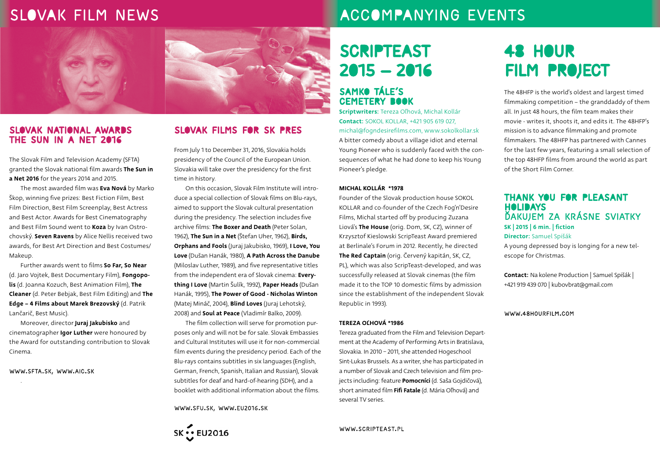### SLOVAK FILM NEWS



#### SLOVAK NATIONAL AWARDS The Sun in a Net 2016

The Slovak Film and Television Academy (SFTA) granted the Slovak national film awards The Sun in a Net 2016 for the years 2014 and 2015.

The most awarded film was Eva Nová by Marko Škop, winning five prizes: Best Fiction Film, Best Film Direction, Best Film Screenplay, Best Actress and Best Actor. Awards for Best Cinematography and Best Film Sound went to Koza by Ivan Ostrochovský. Seven Ravens by Alice Nellis received two awards, for Best Art Direction and Best Costumes/ Makeup.

Further awards went to films So Far, So Near (d. Jaro Vojtek, Best Documentary Film), Fongopolis (d. Joanna Kozuch, Best Animation Film), The Cleaner (d. Peter Bebjak, Best Film Editing) and The Edge – 4 Films about Marek Brezovský (d. Patrik Lančarič, Best Music).

Moreover, director Juraj Jakubisko and cinematographer Igor Luther were honoured by the Award for outstanding contribution to Slovak Cinema.

www.sfta.sk, www.aic.sk

.

#### SLOVAK FILMS FOR SK PRES

From July 1 to December 31, 2016, Slovakia holds presidency of the Council of the European Union. Slovakia will take over the presidency for the first time in history.

On this occasion, Slovak Film Institute will introduce a special collection of Slovak films on Blu-rays, aimed to support the Slovak cultural presentation during the presidency. The selection includes five archive films: The Boxer and Death (Peter Solan, 1962), The Sun in a Net (Štefan Uher, 1962), Birds, Orphans and Fools (Juraj Jakubisko, 1969), I Love, You Love (Dušan Hanák, 1980), A Path Across the Danube (Miloslav Luther, 1989), and five representative titles from the independent era of Slovak cinema: Everything I Love (Martin Šulík, 1992), Paper Heads (Dušan Hanák, 1995), The Power of Good - Nicholas Winton (Matej Mináč, 2004), Blind Loves (Juraj Lehotský, 2008) and **Soul at Peace** (Vladimír Balko, 2009).

The film collection will serve for promotion purposes only and will not be for sale. Slovak Embassies and Cultural Institutes will use it for non-commercial film events during the presidency period. Each of the Blu-rays contains subtitles in six languages (English, German, French, Spanish, Italian and Russian), Slovak subtitles for deaf and hard-of-hearing (SDH), and a booklet with additional information about the films.

www.sfu.sk, www.eu2016.sk



# ACCOMPANYING EVENTS

# SCRIPTEAST 2015 — 2016

#### SAMKO TÁLE'S Cemetery Book

Scriptwriters: Tereza Oľhová, Michal Kollár Contact: SOKOL KOLLAR, +421 905 619 027, michal@fogndesirefilms.com, www.sokolkollar.sk A bitter comedy about a village idiot and eternal Young Pioneer who is suddenly faced with the consequences of what he had done to keep his Young Pioneer's pledge.

#### MICHAL KOLLÁR \*1978

Founder of the Slovak production house SOKOL KOLLAR and co-founder of the Czech Fog'n'Desire Films, Michal started off by producing Zuzana Liová's The House (orig. Dom, SK, CZ), winner of Krzysztof Kieslowski ScripTeast Award premiered at Berlinale's Forum in 2012. Recently, he directed The Red Captain (orig. Červený kapitán, SK, CZ, PL), which was also ScripTeast-developed, and was successfully released at Slovak cinemas (the film made it to the TOP 10 domestic films by admission since the establishment of the independent Slovak Republic in 1993).

#### TEREZA OĽHOVÁ \*1986

Tereza graduated from the Film and Television Department at the Academy of Performing Arts in Bratislava, Slovakia. In 2010 − 2011, she attended Hogeschool Sint-Lukas Brussels. As a writer, she has participated in a number of Slovak and Czech television and film projects including: feature Pomocníci (d. Saša Gojdičová), short animated film Fifi Fatale (d. Mária Oľhová) and several TV series.

#### www.scripteast.pl

# 48 HOUR FILM PROJECT

The 48HFP is the world's oldest and largest timed filmmaking competition – the granddaddy of them all. In just 48 hours, the film team makes their movie - writes it, shoots it, and edits it. The 48HFP's mission is to advance filmmaking and promote filmmakers. The 48HFP has partnered with Cannes for the last few years, featuring a small selection of the top 48HFP films from around the world as part of the Short Film Corner.

#### THANK YOU FOR PLEASANT HOLIDAYS Ďakujem za krásne sviatky SK | 2015 | 6 min. | fiction Director: Samuel Spišák

A young depressed boy is longing for a new telescope for Christmas.

Contact: Na kolene Production | Samuel Spišák | +421 919 439 070 | kubovbrat@gmail.com

#### www.48hourfilm.com